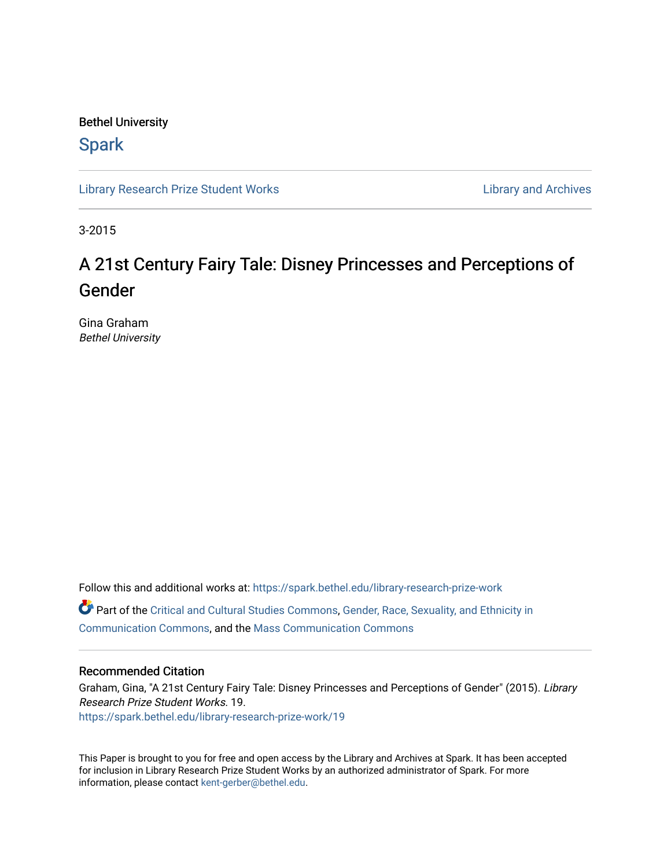### Bethel University

## **Spark**

[Library Research Prize Student Works](https://spark.bethel.edu/library-research-prize-work) **Library Access 2018** Library and Archives

3-2015

# A 21st Century Fairy Tale: Disney Princesses and Perceptions of Gender

Gina Graham Bethel University

Follow this and additional works at: [https://spark.bethel.edu/library-research-prize-work](https://spark.bethel.edu/library-research-prize-work?utm_source=spark.bethel.edu%2Flibrary-research-prize-work%2F19&utm_medium=PDF&utm_campaign=PDFCoverPages)  Part of the [Critical and Cultural Studies Commons](http://network.bepress.com/hgg/discipline/328?utm_source=spark.bethel.edu%2Flibrary-research-prize-work%2F19&utm_medium=PDF&utm_campaign=PDFCoverPages), [Gender, Race, Sexuality, and Ethnicity in](http://network.bepress.com/hgg/discipline/329?utm_source=spark.bethel.edu%2Flibrary-research-prize-work%2F19&utm_medium=PDF&utm_campaign=PDFCoverPages)  [Communication Commons](http://network.bepress.com/hgg/discipline/329?utm_source=spark.bethel.edu%2Flibrary-research-prize-work%2F19&utm_medium=PDF&utm_campaign=PDFCoverPages), and the [Mass Communication Commons](http://network.bepress.com/hgg/discipline/334?utm_source=spark.bethel.edu%2Flibrary-research-prize-work%2F19&utm_medium=PDF&utm_campaign=PDFCoverPages) 

#### Recommended Citation

Graham, Gina, "A 21st Century Fairy Tale: Disney Princesses and Perceptions of Gender" (2015). Library Research Prize Student Works. 19. [https://spark.bethel.edu/library-research-prize-work/19](https://spark.bethel.edu/library-research-prize-work/19?utm_source=spark.bethel.edu%2Flibrary-research-prize-work%2F19&utm_medium=PDF&utm_campaign=PDFCoverPages) 

This Paper is brought to you for free and open access by the Library and Archives at Spark. It has been accepted for inclusion in Library Research Prize Student Works by an authorized administrator of Spark. For more information, please contact [kent-gerber@bethel.edu.](mailto:kent-gerber@bethel.edu)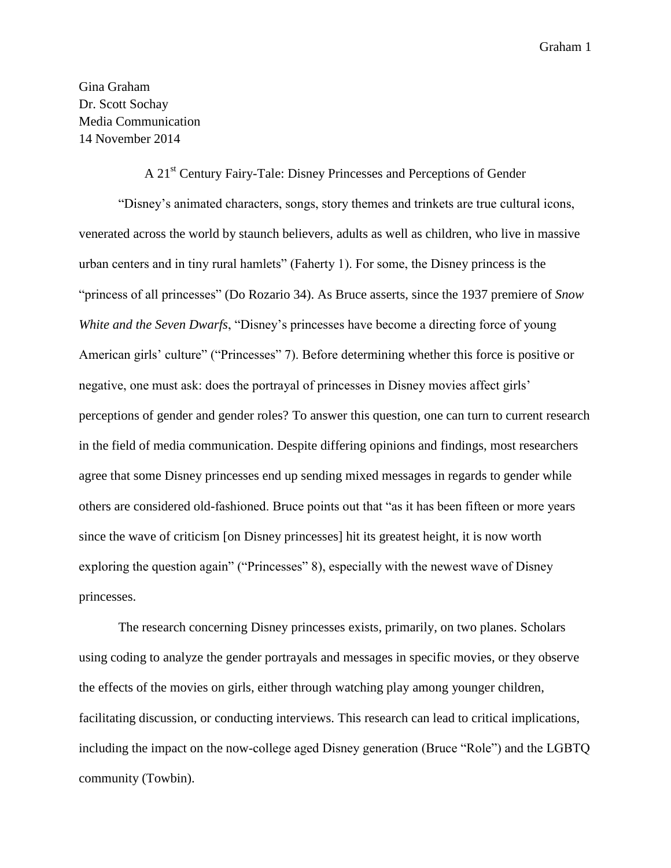Gina Graham Dr. Scott Sochay Media Communication 14 November 2014

#### A 21st Century Fairy-Tale: Disney Princesses and Perceptions of Gender

"Disney's animated characters, songs, story themes and trinkets are true cultural icons, venerated across the world by staunch believers, adults as well as children, who live in massive urban centers and in tiny rural hamlets" (Faherty 1). For some, the Disney princess is the "princess of all princesses" (Do Rozario 34). As Bruce asserts, since the 1937 premiere of *Snow White and the Seven Dwarfs*, "Disney's princesses have become a directing force of young American girls' culture" ("Princesses" 7). Before determining whether this force is positive or negative, one must ask: does the portrayal of princesses in Disney movies affect girls' perceptions of gender and gender roles? To answer this question, one can turn to current research in the field of media communication. Despite differing opinions and findings, most researchers agree that some Disney princesses end up sending mixed messages in regards to gender while others are considered old-fashioned. Bruce points out that "as it has been fifteen or more years since the wave of criticism [on Disney princesses] hit its greatest height, it is now worth exploring the question again" ("Princesses" 8), especially with the newest wave of Disney princesses.

The research concerning Disney princesses exists, primarily, on two planes. Scholars using coding to analyze the gender portrayals and messages in specific movies, or they observe the effects of the movies on girls, either through watching play among younger children, facilitating discussion, or conducting interviews. This research can lead to critical implications, including the impact on the now-college aged Disney generation (Bruce "Role") and the LGBTQ community (Towbin).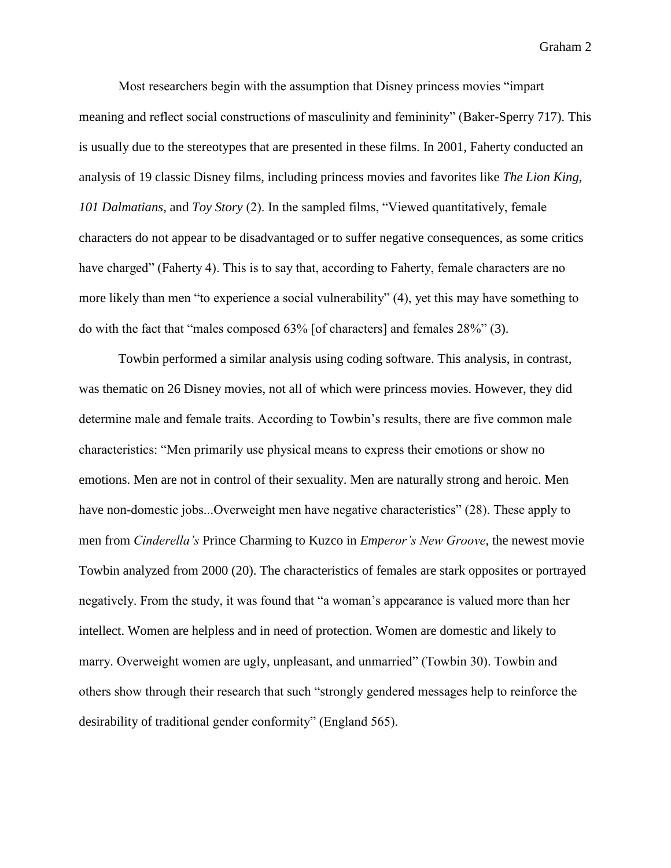Most researchers begin with the assumption that Disney princess movies "impart meaning and reflect social constructions of masculinity and femininity" (Baker-Sperry 717). This is usually due to the stereotypes that are presented in these films. In 2001, Faherty conducted an analysis of 19 classic Disney films, including princess movies and favorites like *The Lion King, 101 Dalmatians*, and *Toy Story* (2). In the sampled films, "Viewed quantitatively, female characters do not appear to be disadvantaged or to suffer negative consequences, as some critics have charged" (Faherty 4). This is to say that, according to Faherty, female characters are no more likely than men "to experience a social vulnerability" (4), yet this may have something to do with the fact that "males composed 63% [of characters] and females 28%" (3).

Towbin performed a similar analysis using coding software. This analysis, in contrast, was thematic on 26 Disney movies, not all of which were princess movies. However, they did determine male and female traits. According to Towbin's results, there are five common male characteristics: "Men primarily use physical means to express their emotions or show no emotions. Men are not in control of their sexuality. Men are naturally strong and heroic. Men have non-domestic jobs...Overweight men have negative characteristics" (28). These apply to men from *Cinderella's* Prince Charming to Kuzco in *Emperor's New Groove*, the newest movie Towbin analyzed from 2000 (20). The characteristics of females are stark opposites or portrayed negatively. From the study, it was found that "a woman's appearance is valued more than her intellect. Women are helpless and in need of protection. Women are domestic and likely to marry. Overweight women are ugly, unpleasant, and unmarried" (Towbin 30). Towbin and others show through their research that such "strongly gendered messages help to reinforce the desirability of traditional gender conformity" (England 565).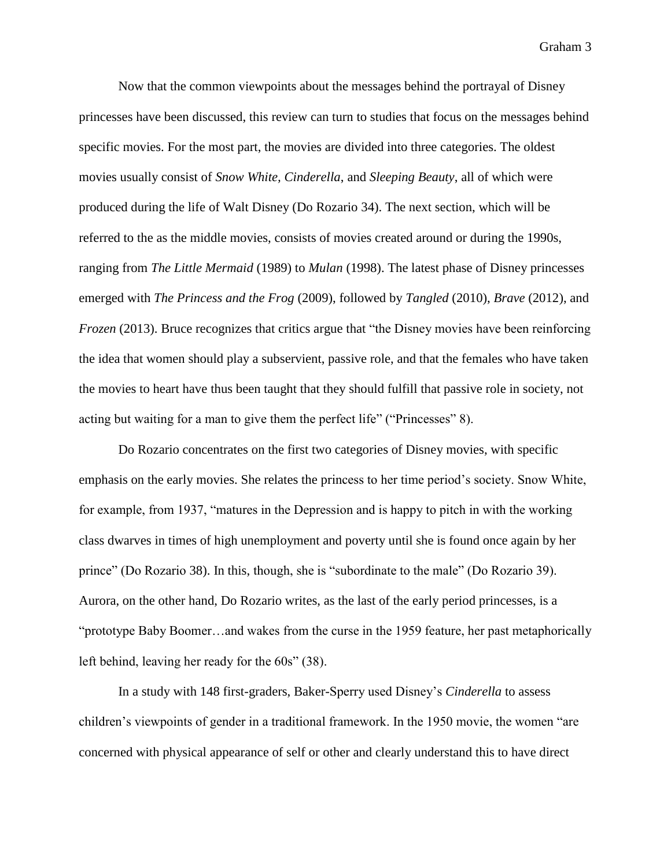Now that the common viewpoints about the messages behind the portrayal of Disney princesses have been discussed, this review can turn to studies that focus on the messages behind specific movies. For the most part, the movies are divided into three categories. The oldest movies usually consist of *Snow White, Cinderella*, and *Sleeping Beauty*, all of which were produced during the life of Walt Disney (Do Rozario 34). The next section, which will be referred to the as the middle movies, consists of movies created around or during the 1990s, ranging from *The Little Mermaid* (1989) to *Mulan* (1998). The latest phase of Disney princesses emerged with *The Princess and the Frog* (2009), followed by *Tangled* (2010), *Brave* (2012), and *Frozen* (2013). Bruce recognizes that critics argue that "the Disney movies have been reinforcing the idea that women should play a subservient, passive role, and that the females who have taken the movies to heart have thus been taught that they should fulfill that passive role in society, not acting but waiting for a man to give them the perfect life" ("Princesses" 8).

Do Rozario concentrates on the first two categories of Disney movies, with specific emphasis on the early movies. She relates the princess to her time period's society. Snow White, for example, from 1937, "matures in the Depression and is happy to pitch in with the working class dwarves in times of high unemployment and poverty until she is found once again by her prince" (Do Rozario 38). In this, though, she is "subordinate to the male" (Do Rozario 39). Aurora, on the other hand, Do Rozario writes, as the last of the early period princesses, is a "prototype Baby Boomer…and wakes from the curse in the 1959 feature, her past metaphorically left behind, leaving her ready for the 60s" (38).

In a study with 148 first-graders, Baker-Sperry used Disney's *Cinderella* to assess children's viewpoints of gender in a traditional framework. In the 1950 movie, the women "are concerned with physical appearance of self or other and clearly understand this to have direct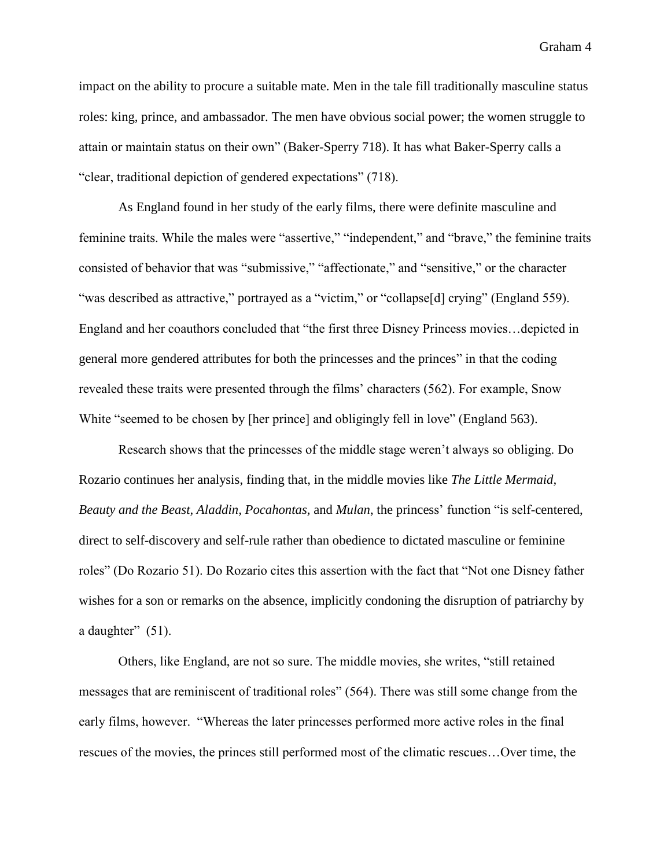impact on the ability to procure a suitable mate. Men in the tale fill traditionally masculine status roles: king, prince, and ambassador. The men have obvious social power; the women struggle to attain or maintain status on their own" (Baker-Sperry 718). It has what Baker-Sperry calls a "clear, traditional depiction of gendered expectations" (718).

As England found in her study of the early films, there were definite masculine and feminine traits. While the males were "assertive," "independent," and "brave," the feminine traits consisted of behavior that was "submissive," "affectionate," and "sensitive," or the character "was described as attractive," portrayed as a "victim," or "collapse[d] crying" (England 559). England and her coauthors concluded that "the first three Disney Princess movies…depicted in general more gendered attributes for both the princesses and the princes" in that the coding revealed these traits were presented through the films' characters (562). For example, Snow White "seemed to be chosen by [her prince] and obligingly fell in love" (England 563).

Research shows that the princesses of the middle stage weren't always so obliging. Do Rozario continues her analysis, finding that, in the middle movies like *The Little Mermaid, Beauty and the Beast, Aladdin, Pocahontas,* and *Mulan*, the princess' function "is self-centered, direct to self-discovery and self-rule rather than obedience to dictated masculine or feminine roles" (Do Rozario 51). Do Rozario cites this assertion with the fact that "Not one Disney father wishes for a son or remarks on the absence, implicitly condoning the disruption of patriarchy by a daughter" (51).

Others, like England, are not so sure. The middle movies, she writes, "still retained messages that are reminiscent of traditional roles" (564). There was still some change from the early films, however. "Whereas the later princesses performed more active roles in the final rescues of the movies, the princes still performed most of the climatic rescues…Over time, the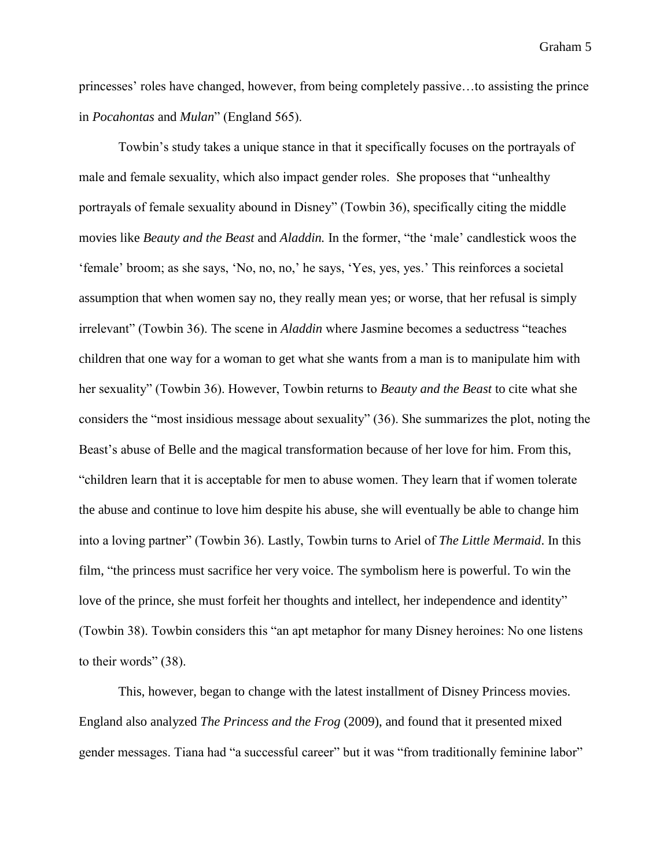princesses' roles have changed, however, from being completely passive…to assisting the prince in *Pocahontas* and *Mulan*" (England 565).

Towbin's study takes a unique stance in that it specifically focuses on the portrayals of male and female sexuality, which also impact gender roles. She proposes that "unhealthy portrayals of female sexuality abound in Disney" (Towbin 36), specifically citing the middle movies like *Beauty and the Beast* and *Aladdin.* In the former, "the 'male' candlestick woos the 'female' broom; as she says, 'No, no, no,' he says, 'Yes, yes, yes.' This reinforces a societal assumption that when women say no, they really mean yes; or worse, that her refusal is simply irrelevant" (Towbin 36). The scene in *Aladdin* where Jasmine becomes a seductress "teaches children that one way for a woman to get what she wants from a man is to manipulate him with her sexuality" (Towbin 36). However, Towbin returns to *Beauty and the Beast* to cite what she considers the "most insidious message about sexuality" (36). She summarizes the plot, noting the Beast's abuse of Belle and the magical transformation because of her love for him. From this, "children learn that it is acceptable for men to abuse women. They learn that if women tolerate the abuse and continue to love him despite his abuse, she will eventually be able to change him into a loving partner" (Towbin 36). Lastly, Towbin turns to Ariel of *The Little Mermaid*. In this film, "the princess must sacrifice her very voice. The symbolism here is powerful. To win the love of the prince, she must forfeit her thoughts and intellect, her independence and identity" (Towbin 38). Towbin considers this "an apt metaphor for many Disney heroines: No one listens to their words" (38).

This, however, began to change with the latest installment of Disney Princess movies. England also analyzed *The Princess and the Frog* (2009), and found that it presented mixed gender messages. Tiana had "a successful career" but it was "from traditionally feminine labor"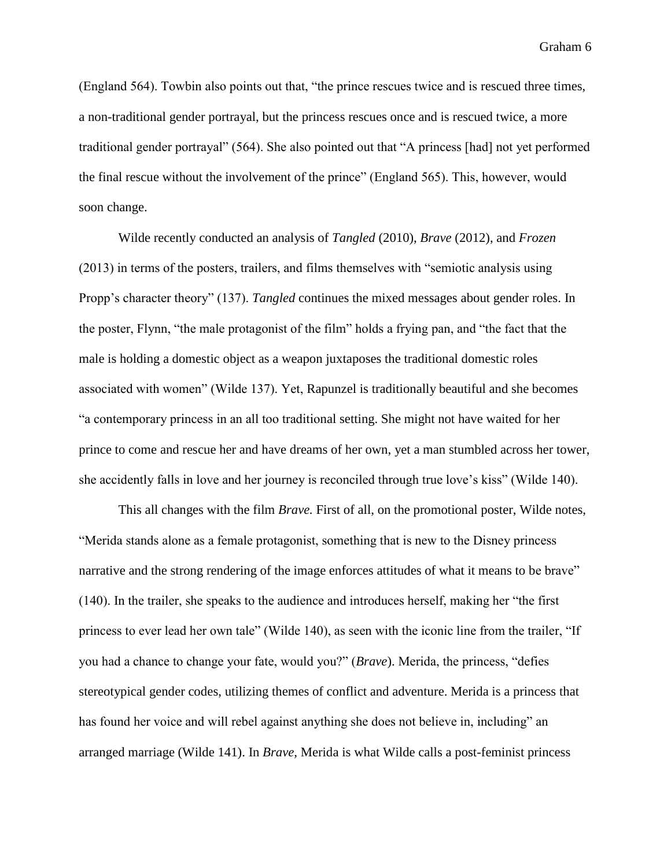(England 564). Towbin also points out that, "the prince rescues twice and is rescued three times, a non-traditional gender portrayal, but the princess rescues once and is rescued twice, a more traditional gender portrayal" (564). She also pointed out that "A princess [had] not yet performed the final rescue without the involvement of the prince" (England 565). This, however, would soon change.

Wilde recently conducted an analysis of *Tangled* (2010), *Brave* (2012), and *Frozen* (2013) in terms of the posters, trailers, and films themselves with "semiotic analysis using Propp's character theory" (137). *Tangled* continues the mixed messages about gender roles. In the poster, Flynn, "the male protagonist of the film" holds a frying pan, and "the fact that the male is holding a domestic object as a weapon juxtaposes the traditional domestic roles associated with women" (Wilde 137). Yet, Rapunzel is traditionally beautiful and she becomes "a contemporary princess in an all too traditional setting. She might not have waited for her prince to come and rescue her and have dreams of her own, yet a man stumbled across her tower, she accidently falls in love and her journey is reconciled through true love's kiss" (Wilde 140).

This all changes with the film *Brave.* First of all, on the promotional poster, Wilde notes, "Merida stands alone as a female protagonist, something that is new to the Disney princess narrative and the strong rendering of the image enforces attitudes of what it means to be brave" (140). In the trailer, she speaks to the audience and introduces herself, making her "the first princess to ever lead her own tale" (Wilde 140), as seen with the iconic line from the trailer, "If you had a chance to change your fate, would you?" (*Brave*). Merida, the princess, "defies stereotypical gender codes, utilizing themes of conflict and adventure. Merida is a princess that has found her voice and will rebel against anything she does not believe in, including" an arranged marriage (Wilde 141). In *Brave,* Merida is what Wilde calls a post-feminist princess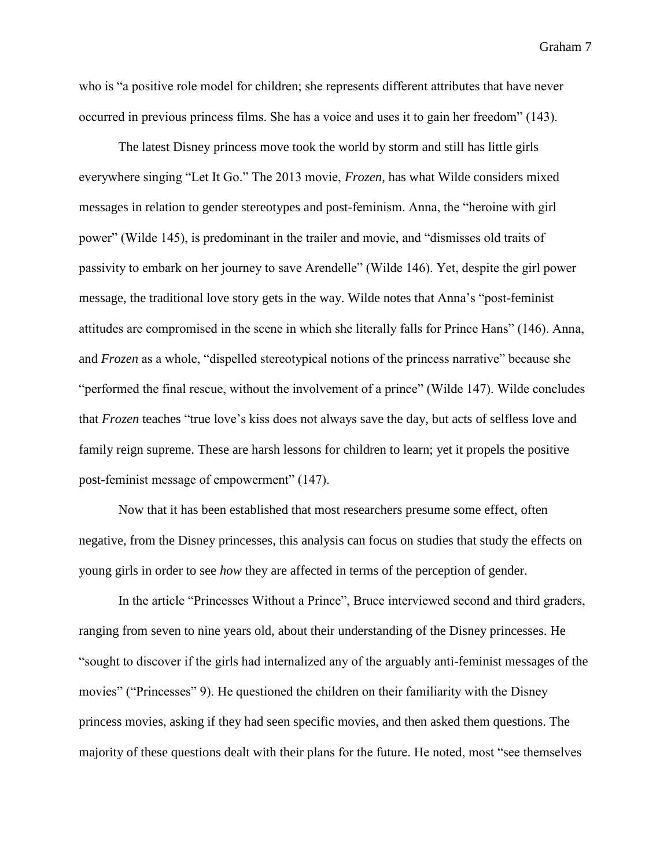who is "a positive role model for children; she represents different attributes that have never occurred in previous princess films. She has a voice and uses it to gain her freedom" (143).

The latest Disney princess move took the world by storm and still has little girls everywhere singing "Let It Go." The 2013 movie, *Frozen*, has what Wilde considers mixed messages in relation to gender stereotypes and post-feminism. Anna, the "heroine with girl power" (Wilde 145), is predominant in the trailer and movie, and "dismisses old traits of passivity to embark on her journey to save Arendelle" (Wilde 146). Yet, despite the girl power message, the traditional love story gets in the way. Wilde notes that Anna's "post-feminist attitudes are compromised in the scene in which she literally falls for Prince Hans" (146). Anna, and *Frozen* as a whole, "dispelled stereotypical notions of the princess narrative" because she "performed the final rescue, without the involvement of a prince" (Wilde 147). Wilde concludes that *Frozen* teaches "true love's kiss does not always save the day, but acts of selfless love and family reign supreme. These are harsh lessons for children to learn; yet it propels the positive post-feminist message of empowerment" (147).

Now that it has been established that most researchers presume some effect, often negative, from the Disney princesses, this analysis can focus on studies that study the effects on young girls in order to see *how* they are affected in terms of the perception of gender.

In the article "Princesses Without a Prince", Bruce interviewed second and third graders, ranging from seven to nine years old, about their understanding of the Disney princesses. He "sought to discover if the girls had internalized any of the arguably anti-feminist messages of the movies" ("Princesses" 9). He questioned the children on their familiarity with the Disney princess movies, asking if they had seen specific movies, and then asked them questions. The majority of these questions dealt with their plans for the future. He noted, most "see themselves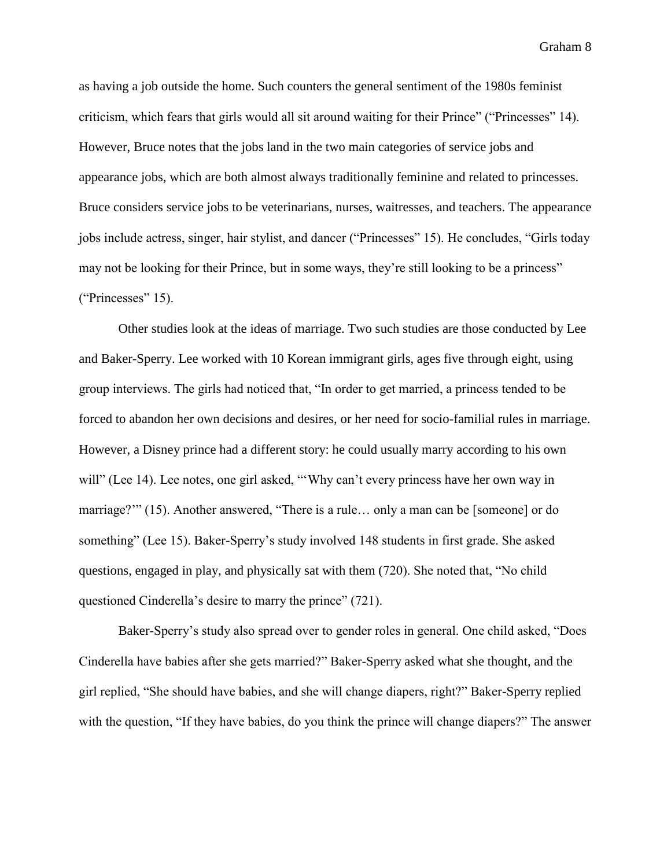as having a job outside the home. Such counters the general sentiment of the 1980s feminist criticism, which fears that girls would all sit around waiting for their Prince" ("Princesses" 14). However, Bruce notes that the jobs land in the two main categories of service jobs and appearance jobs, which are both almost always traditionally feminine and related to princesses. Bruce considers service jobs to be veterinarians, nurses, waitresses, and teachers. The appearance jobs include actress, singer, hair stylist, and dancer ("Princesses" 15). He concludes, "Girls today may not be looking for their Prince, but in some ways, they're still looking to be a princess" ("Princesses" 15).

Other studies look at the ideas of marriage. Two such studies are those conducted by Lee and Baker-Sperry. Lee worked with 10 Korean immigrant girls, ages five through eight, using group interviews. The girls had noticed that, "In order to get married, a princess tended to be forced to abandon her own decisions and desires, or her need for socio-familial rules in marriage. However, a Disney prince had a different story: he could usually marry according to his own will" (Lee 14). Lee notes, one girl asked, "'Why can't every princess have her own way in marriage?'" (15). Another answered, "There is a rule… only a man can be [someone] or do something" (Lee 15). Baker-Sperry's study involved 148 students in first grade. She asked questions, engaged in play, and physically sat with them (720). She noted that, "No child questioned Cinderella's desire to marry the prince" (721).

Baker-Sperry's study also spread over to gender roles in general. One child asked, "Does Cinderella have babies after she gets married?" Baker-Sperry asked what she thought, and the girl replied, "She should have babies, and she will change diapers, right?" Baker-Sperry replied with the question, "If they have babies, do you think the prince will change diapers?" The answer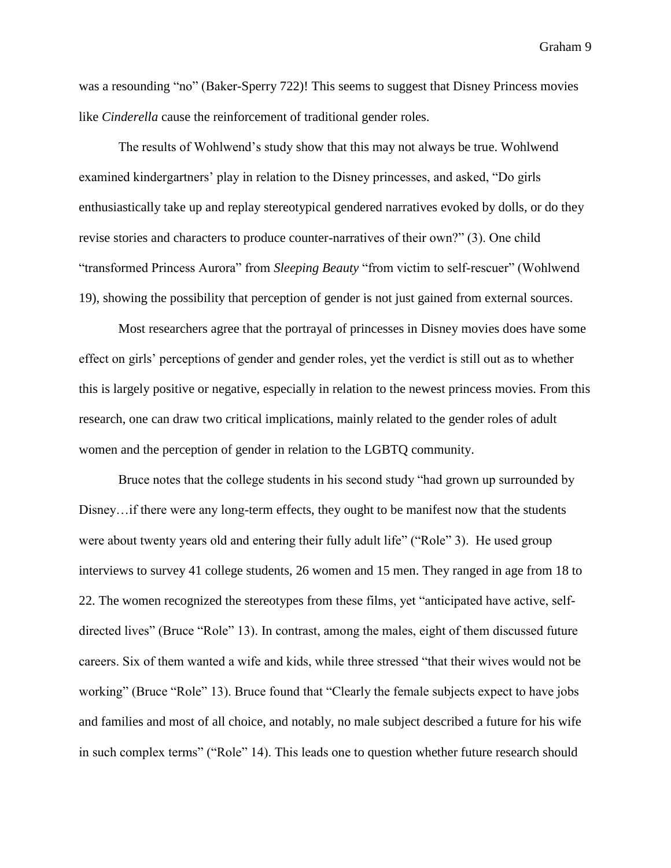was a resounding "no" (Baker-Sperry 722)! This seems to suggest that Disney Princess movies like *Cinderella* cause the reinforcement of traditional gender roles.

The results of Wohlwend's study show that this may not always be true. Wohlwend examined kindergartners' play in relation to the Disney princesses, and asked, "Do girls enthusiastically take up and replay stereotypical gendered narratives evoked by dolls, or do they revise stories and characters to produce counter-narratives of their own?" (3). One child "transformed Princess Aurora" from *Sleeping Beauty* "from victim to self-rescuer" (Wohlwend 19), showing the possibility that perception of gender is not just gained from external sources.

Most researchers agree that the portrayal of princesses in Disney movies does have some effect on girls' perceptions of gender and gender roles, yet the verdict is still out as to whether this is largely positive or negative, especially in relation to the newest princess movies. From this research, one can draw two critical implications, mainly related to the gender roles of adult women and the perception of gender in relation to the LGBTQ community.

Bruce notes that the college students in his second study "had grown up surrounded by Disney…if there were any long-term effects, they ought to be manifest now that the students were about twenty years old and entering their fully adult life" ("Role" 3). He used group interviews to survey 41 college students, 26 women and 15 men. They ranged in age from 18 to 22. The women recognized the stereotypes from these films, yet "anticipated have active, selfdirected lives" (Bruce "Role" 13). In contrast, among the males, eight of them discussed future careers. Six of them wanted a wife and kids, while three stressed "that their wives would not be working" (Bruce "Role" 13). Bruce found that "Clearly the female subjects expect to have jobs and families and most of all choice, and notably, no male subject described a future for his wife in such complex terms" ("Role" 14). This leads one to question whether future research should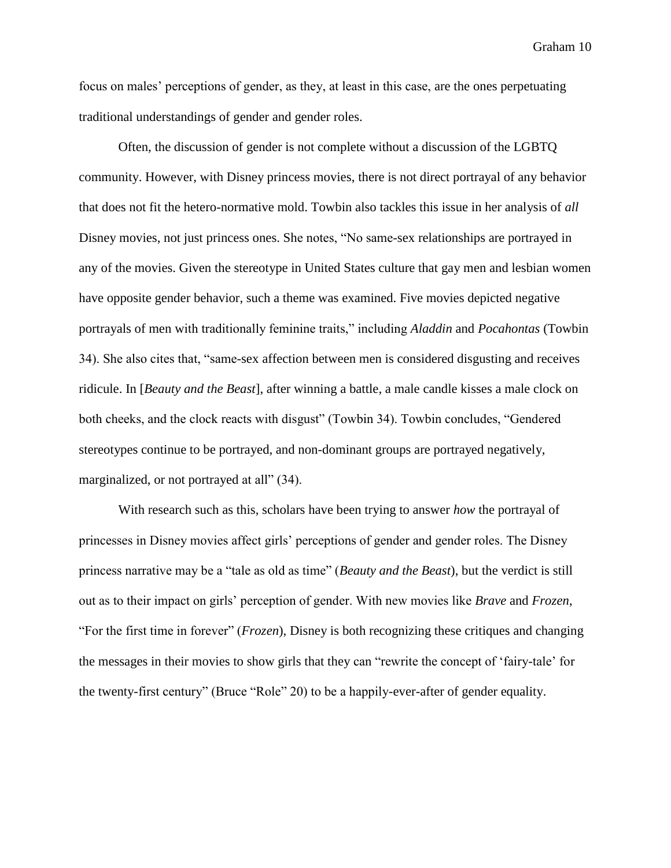focus on males' perceptions of gender, as they, at least in this case, are the ones perpetuating traditional understandings of gender and gender roles.

Often, the discussion of gender is not complete without a discussion of the LGBTQ community. However, with Disney princess movies, there is not direct portrayal of any behavior that does not fit the hetero-normative mold. Towbin also tackles this issue in her analysis of *all* Disney movies, not just princess ones. She notes, "No same-sex relationships are portrayed in any of the movies. Given the stereotype in United States culture that gay men and lesbian women have opposite gender behavior, such a theme was examined. Five movies depicted negative portrayals of men with traditionally feminine traits," including *Aladdin* and *Pocahontas* (Towbin 34). She also cites that, "same-sex affection between men is considered disgusting and receives ridicule. In [*Beauty and the Beast*], after winning a battle, a male candle kisses a male clock on both cheeks, and the clock reacts with disgust" (Towbin 34). Towbin concludes, "Gendered stereotypes continue to be portrayed, and non-dominant groups are portrayed negatively, marginalized, or not portrayed at all" (34).

With research such as this, scholars have been trying to answer *how* the portrayal of princesses in Disney movies affect girls' perceptions of gender and gender roles. The Disney princess narrative may be a "tale as old as time" (*Beauty and the Beast*), but the verdict is still out as to their impact on girls' perception of gender. With new movies like *Brave* and *Frozen*, "For the first time in forever" (*Frozen*), Disney is both recognizing these critiques and changing the messages in their movies to show girls that they can "rewrite the concept of 'fairy-tale' for the twenty-first century" (Bruce "Role" 20) to be a happily-ever-after of gender equality.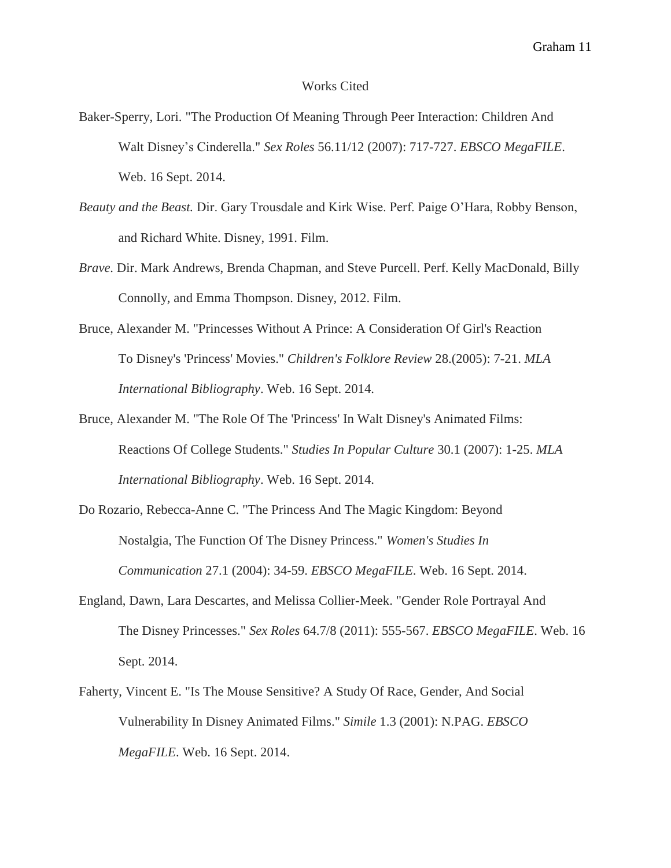#### Works Cited

- Baker-Sperry, Lori. "The Production Of Meaning Through Peer Interaction: Children And Walt Disney's Cinderella." *Sex Roles* 56.11/12 (2007): 717-727. *EBSCO MegaFILE*. Web. 16 Sept. 2014.
- *Beauty and the Beast.* Dir. Gary Trousdale and Kirk Wise. Perf. Paige O'Hara, Robby Benson, and Richard White. Disney, 1991. Film.
- *Brave*. Dir. Mark Andrews, Brenda Chapman, and Steve Purcell. Perf. Kelly MacDonald, Billy Connolly, and Emma Thompson. Disney, 2012. Film.
- Bruce, Alexander M. "Princesses Without A Prince: A Consideration Of Girl's Reaction To Disney's 'Princess' Movies." *Children's Folklore Review* 28.(2005): 7-21. *MLA International Bibliography*. Web. 16 Sept. 2014.
- Bruce, Alexander M. "The Role Of The 'Princess' In Walt Disney's Animated Films: Reactions Of College Students." *Studies In Popular Culture* 30.1 (2007): 1-25. *MLA International Bibliography*. Web. 16 Sept. 2014.
- Do Rozario, Rebecca-Anne C. "The Princess And The Magic Kingdom: Beyond Nostalgia, The Function Of The Disney Princess." *Women's Studies In Communication* 27.1 (2004): 34-59. *EBSCO MegaFILE*. Web. 16 Sept. 2014.
- England, Dawn, Lara Descartes, and Melissa Collier-Meek. "Gender Role Portrayal And The Disney Princesses." *Sex Roles* 64.7/8 (2011): 555-567. *EBSCO MegaFILE*. Web. 16 Sept. 2014.
- Faherty, Vincent E. "Is The Mouse Sensitive? A Study Of Race, Gender, And Social Vulnerability In Disney Animated Films." *Simile* 1.3 (2001): N.PAG. *EBSCO MegaFILE*. Web. 16 Sept. 2014.